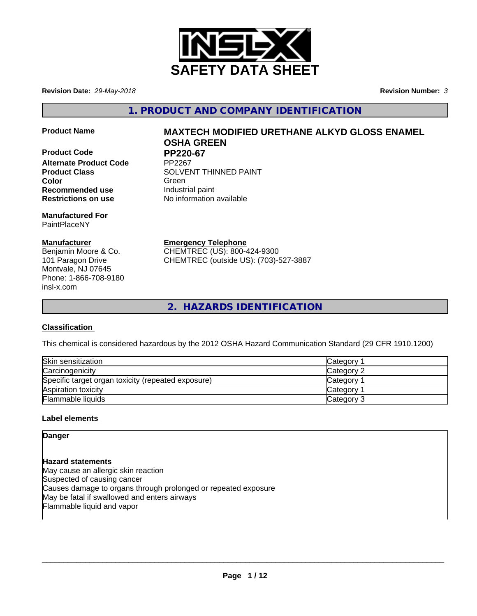

**Revision Date:** *29-May-2018* **Revision Number:** *3*

**1. PRODUCT AND COMPANY IDENTIFICATION**

**Product Code PP220-67 Alternate Product Code Recommended use Industrial paint Restrictions on use** No information available

**Manufactured For** PaintPlaceNY

## **Manufacturer**

Benjamin Moore & Co. 101 Paragon Drive Montvale, NJ 07645 Phone: 1-866-708-9180 insl-x.com

# **Product Name MAXTECH MODIFIED URETHANE ALKYD GLOSS ENAMEL OSHA GREEN**

**Product Class SOLVENT THINNED PAINT Color** Green **Green** Green **Green** 

**Emergency Telephone**

CHEMTREC (US): 800-424-9300 CHEMTREC (outside US): (703)-527-3887

**2. HAZARDS IDENTIFICATION**

## **Classification**

This chemical is considered hazardous by the 2012 OSHA Hazard Communication Standard (29 CFR 1910.1200)

| Skin sensitization                                 | Category        |
|----------------------------------------------------|-----------------|
| Carcinogenicity                                    | Category 2      |
| Specific target organ toxicity (repeated exposure) | <b>Category</b> |
| Aspiration toxicity                                | <b>Category</b> |
| Flammable liquids                                  | Category 3      |

## **Label elements**

**Danger**

**Hazard statements** May cause an allergic skin reaction Suspected of causing cancer Causes damage to organs through prolonged or repeated exposure May be fatal if swallowed and enters airways Flammable liquid and vapor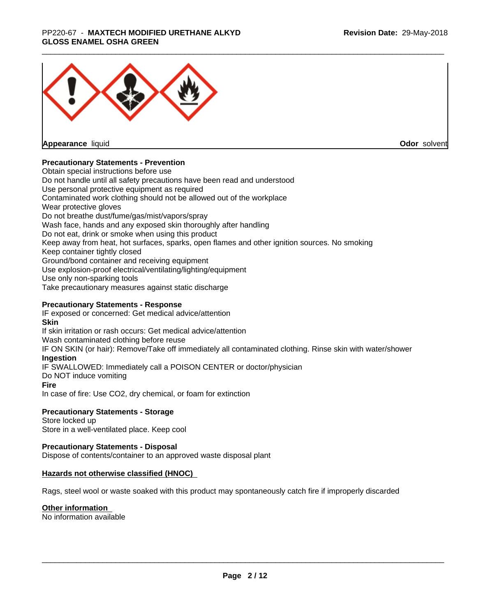### \_\_\_\_\_\_\_\_\_\_\_\_\_\_\_\_\_\_\_\_\_\_\_\_\_\_\_\_\_\_\_\_\_\_\_\_\_\_\_\_\_\_\_\_\_\_\_\_\_\_\_\_\_\_\_\_\_\_\_\_\_\_\_\_\_\_\_\_\_\_\_\_\_\_\_\_\_\_\_\_\_\_\_\_\_\_\_\_\_\_\_\_\_ PP220-67 - **MAXTECH MODIFIED URETHANE ALKYD GLOSS ENAMEL OSHA GREEN**



**Appearance** liquid

**Odor** solvent

## **Precautionary Statements - Prevention**

Obtain special instructions before use Do not handle until all safety precautions have been read and understood Use personal protective equipment as required Contaminated work clothing should not be allowed out of the workplace Wear protective gloves Do not breathe dust/fume/gas/mist/vapors/spray Wash face, hands and any exposed skin thoroughly after handling Do not eat, drink or smoke when using this product Keep away from heat, hot surfaces, sparks, open flames and other ignition sources. No smoking Keep container tightly closed Ground/bond container and receiving equipment Use explosion-proof electrical/ventilating/lighting/equipment Use only non-sparking tools Take precautionary measures against static discharge

## **Precautionary Statements - Response**

IF exposed or concerned: Get medical advice/attention **Skin** If skin irritation or rash occurs: Get medical advice/attention Wash contaminated clothing before reuse IF ON SKIN (or hair): Remove/Take off immediately all contaminated clothing. Rinse skin with water/shower **Ingestion** IF SWALLOWED: Immediately call a POISON CENTER or doctor/physician Do NOT induce vomiting **Fire** In case of fire: Use CO2, dry chemical, or foam for extinction

## **Precautionary Statements - Storage**

Store locked up Store in a well-ventilated place. Keep cool

## **Precautionary Statements - Disposal**

Dispose of contents/container to an approved waste disposal plant

## **Hazards not otherwise classified (HNOC)**

Rags, steel wool or waste soaked with this product may spontaneously catch fire if improperly discarded

#### **Other information**

No information available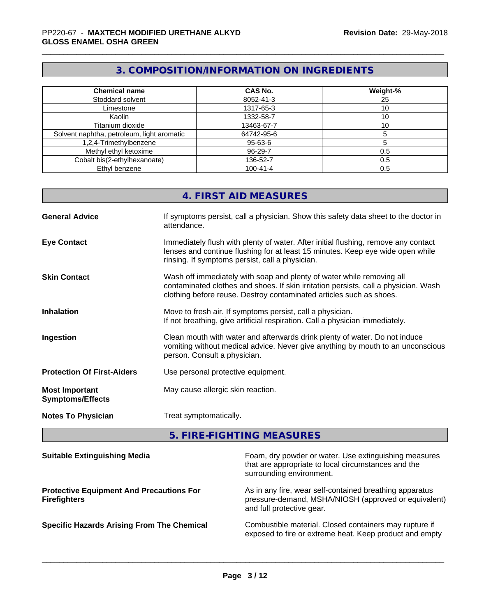# **3. COMPOSITION/INFORMATION ON INGREDIENTS**

| <b>Chemical name</b>                       | <b>CAS No.</b> | Weight-% |
|--------------------------------------------|----------------|----------|
| Stoddard solvent                           | 8052-41-3      | 25       |
| Limestone                                  | 1317-65-3      | 10       |
| Kaolin                                     | 1332-58-7      | 10       |
| Titanium dioxide                           | 13463-67-7     | 10       |
| Solvent naphtha, petroleum, light aromatic | 64742-95-6     |          |
| 1,2,4-Trimethylbenzene                     | 95-63-6        |          |
| Methyl ethyl ketoxime                      | 96-29-7        | 0.5      |
| Cobalt bis(2-ethylhexanoate)               | 136-52-7       | 0.5      |
| Ethyl benzene                              | $100 - 41 - 4$ | 0.5      |

|                                                  | 4. FIRST AID MEASURES                                                                                                                                                                                                               |
|--------------------------------------------------|-------------------------------------------------------------------------------------------------------------------------------------------------------------------------------------------------------------------------------------|
| <b>General Advice</b>                            | If symptoms persist, call a physician. Show this safety data sheet to the doctor in<br>attendance.                                                                                                                                  |
| <b>Eye Contact</b>                               | Immediately flush with plenty of water. After initial flushing, remove any contact<br>lenses and continue flushing for at least 15 minutes. Keep eye wide open while<br>rinsing. If symptoms persist, call a physician.             |
| <b>Skin Contact</b>                              | Wash off immediately with soap and plenty of water while removing all<br>contaminated clothes and shoes. If skin irritation persists, call a physician. Wash<br>clothing before reuse. Destroy contaminated articles such as shoes. |
| <b>Inhalation</b>                                | Move to fresh air. If symptoms persist, call a physician.<br>If not breathing, give artificial respiration. Call a physician immediately.                                                                                           |
| Ingestion                                        | Clean mouth with water and afterwards drink plenty of water. Do not induce<br>vomiting without medical advice. Never give anything by mouth to an unconscious<br>person. Consult a physician.                                       |
| <b>Protection Of First-Aiders</b>                | Use personal protective equipment.                                                                                                                                                                                                  |
| <b>Most Important</b><br><b>Symptoms/Effects</b> | May cause allergic skin reaction.                                                                                                                                                                                                   |
| <b>Notes To Physician</b>                        | Treat symptomatically.                                                                                                                                                                                                              |

# **5. FIRE-FIGHTING MEASURES**

| <b>Suitable Extinguishing Media</b>                                    | Foam, dry powder or water. Use extinguishing measures<br>that are appropriate to local circumstances and the<br>surrounding environment.     |
|------------------------------------------------------------------------|----------------------------------------------------------------------------------------------------------------------------------------------|
| <b>Protective Equipment And Precautions For</b><br><b>Firefighters</b> | As in any fire, wear self-contained breathing apparatus<br>pressure-demand, MSHA/NIOSH (approved or equivalent)<br>and full protective gear. |
| <b>Specific Hazards Arising From The Chemical</b>                      | Combustible material. Closed containers may rupture if<br>exposed to fire or extreme heat. Keep product and empty                            |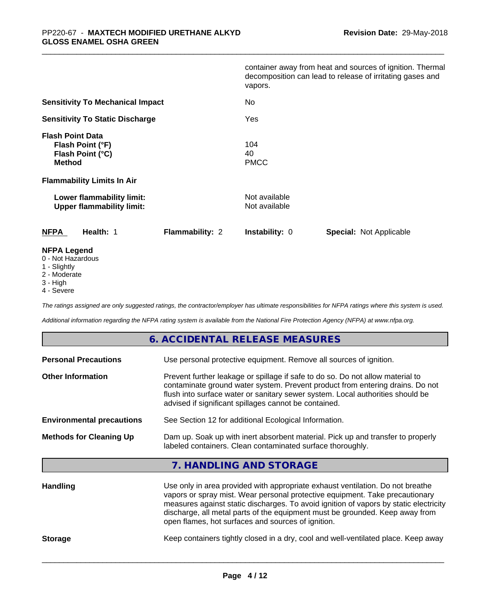|                                                                                  | container away from heat and sources of ignition. Thermal<br>decomposition can lead to release of irritating gases and<br>vapors. |
|----------------------------------------------------------------------------------|-----------------------------------------------------------------------------------------------------------------------------------|
| <b>Sensitivity To Mechanical Impact</b>                                          | No                                                                                                                                |
| <b>Sensitivity To Static Discharge</b>                                           | Yes                                                                                                                               |
| <b>Flash Point Data</b><br>Flash Point (°F)<br>Flash Point (°C)<br><b>Method</b> | 104<br>40<br><b>PMCC</b>                                                                                                          |
| <b>Flammability Limits In Air</b>                                                |                                                                                                                                   |
| Lower flammability limit:<br><b>Upper flammability limit:</b>                    | Not available<br>Not available                                                                                                    |
| <b>NFPA</b><br>Health: 1<br><b>Flammability: 2</b>                               | <b>Instability: 0</b><br><b>Special: Not Applicable</b>                                                                           |
| <b>NFPA Legend</b><br>0 - Not Hazardous                                          |                                                                                                                                   |

- 1 Slightly
- 2 Moderate
- 3 High
- 4 Severe

*The ratings assigned are only suggested ratings, the contractor/employer has ultimate responsibilities for NFPA ratings where this system is used.*

*Additional information regarding the NFPA rating system is available from the National Fire Protection Agency (NFPA) at www.nfpa.org.*

## **6. ACCIDENTAL RELEASE MEASURES**

| <b>Personal Precautions</b>      | Use personal protective equipment. Remove all sources of ignition.                                                                                                                                                                                                                                                                                                                            |  |  |
|----------------------------------|-----------------------------------------------------------------------------------------------------------------------------------------------------------------------------------------------------------------------------------------------------------------------------------------------------------------------------------------------------------------------------------------------|--|--|
| <b>Other Information</b>         | Prevent further leakage or spillage if safe to do so. Do not allow material to<br>contaminate ground water system. Prevent product from entering drains. Do not<br>flush into surface water or sanitary sewer system. Local authorities should be<br>advised if significant spillages cannot be contained.                                                                                    |  |  |
| <b>Environmental precautions</b> | See Section 12 for additional Ecological Information.                                                                                                                                                                                                                                                                                                                                         |  |  |
| <b>Methods for Cleaning Up</b>   | Dam up. Soak up with inert absorbent material. Pick up and transfer to properly<br>labeled containers. Clean contaminated surface thoroughly.                                                                                                                                                                                                                                                 |  |  |
|                                  | 7. HANDLING AND STORAGE                                                                                                                                                                                                                                                                                                                                                                       |  |  |
| <b>Handling</b>                  | Use only in area provided with appropriate exhaust ventilation. Do not breathe<br>vapors or spray mist. Wear personal protective equipment. Take precautionary<br>measures against static discharges. To avoid ignition of vapors by static electricity<br>discharge, all metal parts of the equipment must be grounded. Keep away from<br>open flames, hot surfaces and sources of ignition. |  |  |

**Storage** Keep containers tightly closed in a dry, cool and well-ventilated place. Keep away

**Page 4 / 12**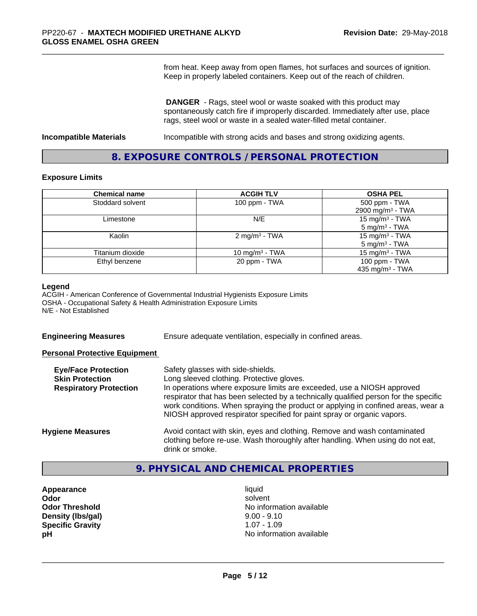from heat. Keep away from open flames, hot surfaces and sources of ignition. Keep in properly labeled containers. Keep out of the reach of children.

 **DANGER** - Rags, steel wool or waste soaked with this product may spontaneously catch fire if improperly discarded. Immediately after use, place rags, steel wool or waste in a sealed water-filled metal container.

**Incompatible Materials Incompatible with strong acids and bases and strong oxidizing agents.** 

## **8. EXPOSURE CONTROLS / PERSONAL PROTECTION**

#### **Exposure Limits**

| <b>Chemical name</b> | <b>ACGIH TLV</b>          | <b>OSHA PEL</b>              |
|----------------------|---------------------------|------------------------------|
| Stoddard solvent     | 100 ppm - TWA             | 500 ppm - TWA                |
|                      |                           | 2900 mg/m <sup>3</sup> - TWA |
| Limestone            | N/E                       | 15 mg/m <sup>3</sup> - TWA   |
|                      |                           | $5 \text{ mg/m}^3$ - TWA     |
| Kaolin               | 2 mg/m <sup>3</sup> - TWA | 15 mg/m <sup>3</sup> - TWA   |
|                      |                           | $5 \text{ mg/m}^3$ - TWA     |
| Titanium dioxide     | 10 mg/m $3$ - TWA         | 15 mg/m <sup>3</sup> - TWA   |
| Ethyl benzene        | 20 ppm - TWA              | 100 ppm - TWA                |
|                      |                           | 435 mg/m <sup>3</sup> - TWA  |

#### **Legend**

ACGIH - American Conference of Governmental Industrial Hygienists Exposure Limits OSHA - Occupational Safety & Health Administration Exposure Limits N/E - Not Established

**Engineering Measures** Ensure adequate ventilation, especially in confined areas.

## **Personal Protective Equipment**

| <b>Eye/Face Protection</b><br><b>Skin Protection</b><br><b>Respiratory Protection</b> | Safety glasses with side-shields.<br>Long sleeved clothing. Protective gloves.<br>In operations where exposure limits are exceeded, use a NIOSH approved<br>respirator that has been selected by a technically qualified person for the specific<br>work conditions. When spraying the product or applying in confined areas, wear a<br>NIOSH approved respirator specified for paint spray or organic vapors. |
|---------------------------------------------------------------------------------------|----------------------------------------------------------------------------------------------------------------------------------------------------------------------------------------------------------------------------------------------------------------------------------------------------------------------------------------------------------------------------------------------------------------|
| <b>Hygiene Measures</b>                                                               | Avoid contact with skin, eyes and clothing. Remove and wash contaminated<br>clothing before re-use. Wash thoroughly after handling. When using do not eat,<br>drink or smoke.                                                                                                                                                                                                                                  |

## **9. PHYSICAL AND CHEMICAL PROPERTIES**

- **Appearance** liquid **Density (lbs/gal)** 9.00 - 9.10<br> **Specific Gravity** 1.07 - 1.09 **Specific Gravity**
- **Odor** solvent **Odor Threshold No information available No information available pH pH**  $\blacksquare$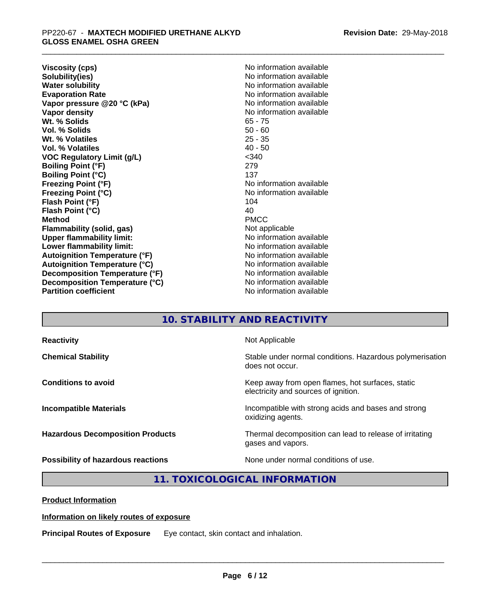**Viscosity (cps)** <br> **Viscosity (cps)** <br> **Solubility(ies)** <br> **Solubility(ies)** <br> **No** information available **Solubility(ies)**<br> **No information available**<br> **Water solubility**<br> **Water solubility Evaporation Rate No information available No information available Vapor pressure @20 °C (kPa)** No information available **Vapor density Vapor** density **Wt. % Solids** 65 - 75 **Vol. % Solids** 50 - 60 Wt. % Volatiles **Vol. % Volatiles** 40 - 50 **VOC Regulatory Limit (g/L)** <340 **Boiling Point (°F)** 279 **Boiling Point (°C)** 137<br> **Freezing Point (°F)** No i **Freezing Point (°C)** No information available **Flash Point (°F)** 104<br> **Flash Point (°C)** 104<br>
104 **Flash Point (°C) Method** PMCC **Flammability (solid, gas)** Not applicable **Upper flammability limit:** No information available **Lower flammability limit:**  $\qquad \qquad \qquad$  No information available **Autoignition Temperature (°F)** No information available **Autoignition Temperature (°C)** No information available **Decomposition Temperature (°F)** No information available **Decomposition Temperature (°C)**<br> **Partition coefficient**<br> **Partition coefficient**<br> **No** information available

**No information available No information available No information available** 

## **10. STABILITY AND REACTIVITY**

| <b>Reactivity</b>                       | Not Applicable                                                                           |
|-----------------------------------------|------------------------------------------------------------------------------------------|
| <b>Chemical Stability</b>               | Stable under normal conditions. Hazardous polymerisation<br>does not occur.              |
| <b>Conditions to avoid</b>              | Keep away from open flames, hot surfaces, static<br>electricity and sources of ignition. |
| <b>Incompatible Materials</b>           | Incompatible with strong acids and bases and strong<br>oxidizing agents.                 |
| <b>Hazardous Decomposition Products</b> | Thermal decomposition can lead to release of irritating<br>gases and vapors.             |
| Possibility of hazardous reactions      | None under normal conditions of use.                                                     |

## **11. TOXICOLOGICAL INFORMATION**

**Product Information**

#### **Information on likely routes of exposure**

**Principal Routes of Exposure** Eye contact, skin contact and inhalation.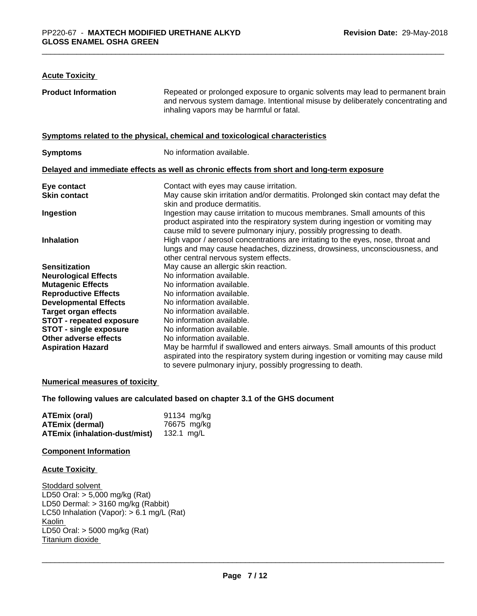## **Acute Toxicity**

| <b>Product Information</b>      | Repeated or prolonged exposure to organic solvents may lead to permanent brain<br>and nervous system damage. Intentional misuse by deliberately concentrating and<br>inhaling vapors may be harmful or fatal.                        |
|---------------------------------|--------------------------------------------------------------------------------------------------------------------------------------------------------------------------------------------------------------------------------------|
|                                 | Symptoms related to the physical, chemical and toxicological characteristics                                                                                                                                                         |
| <b>Symptoms</b>                 | No information available.                                                                                                                                                                                                            |
|                                 | Delayed and immediate effects as well as chronic effects from short and long-term exposure                                                                                                                                           |
| Eye contact                     | Contact with eyes may cause irritation.                                                                                                                                                                                              |
| <b>Skin contact</b>             | May cause skin irritation and/or dermatitis. Prolonged skin contact may defat the<br>skin and produce dermatitis.                                                                                                                    |
| Ingestion                       | Ingestion may cause irritation to mucous membranes. Small amounts of this<br>product aspirated into the respiratory system during ingestion or vomiting may<br>cause mild to severe pulmonary injury, possibly progressing to death. |
| <b>Inhalation</b>               | High vapor / aerosol concentrations are irritating to the eyes, nose, throat and<br>lungs and may cause headaches, dizziness, drowsiness, unconsciousness, and<br>other central nervous system effects.                              |
| <b>Sensitization</b>            | May cause an allergic skin reaction.                                                                                                                                                                                                 |
| <b>Neurological Effects</b>     | No information available.                                                                                                                                                                                                            |
| <b>Mutagenic Effects</b>        | No information available.                                                                                                                                                                                                            |
| <b>Reproductive Effects</b>     | No information available.                                                                                                                                                                                                            |
| <b>Developmental Effects</b>    | No information available.                                                                                                                                                                                                            |
| <b>Target organ effects</b>     | No information available.                                                                                                                                                                                                            |
| <b>STOT - repeated exposure</b> | No information available.                                                                                                                                                                                                            |
| <b>STOT - single exposure</b>   | No information available.                                                                                                                                                                                                            |
| Other adverse effects           | No information available.                                                                                                                                                                                                            |
| <b>Aspiration Hazard</b>        | May be harmful if swallowed and enters airways. Small amounts of this product<br>aspirated into the respiratory system during ingestion or vomiting may cause mild<br>to severe pulmonary injury, possibly progressing to death.     |

#### **Numerical measures of toxicity**

**The following values are calculated based on chapter 3.1 of the GHS document**

| ATEmix (oral)                 | 91134 mg/kg |
|-------------------------------|-------------|
| <b>ATEmix (dermal)</b>        | 76675 mg/kg |
| ATEmix (inhalation-dust/mist) | 132.1 ma/L  |

## **Component Information**

#### **Acute Toxicity**

Stoddard solvent LD50 Oral: > 5,000 mg/kg (Rat) LD50 Dermal: > 3160 mg/kg (Rabbit) LC50 Inhalation (Vapor): > 6.1 mg/L (Rat) **Kaolin**  $\frac{1}{2}$ LD50 Oral: > 5000 mg/kg (Rat) Titanium dioxide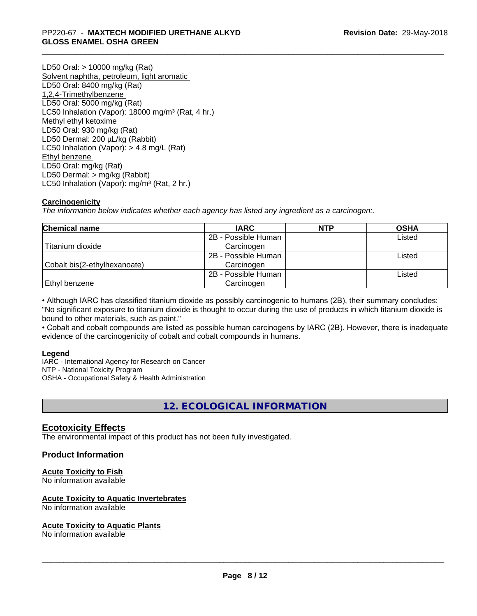LD50 Oral: > 10000 mg/kg (Rat) Solvent naphtha, petroleum, light aromatic LD50 Oral: 8400 mg/kg (Rat) 1,2,4-Trimethylbenzene LD50 Oral: 5000 mg/kg (Rat) LC50 Inhalation (Vapor): 18000 mg/m<sup>3</sup> (Rat, 4 hr.) Methyl ethyl ketoxime LD50 Oral: 930 mg/kg (Rat) LD50 Dermal: 200 µL/kg (Rabbit) LC50 Inhalation (Vapor): > 4.8 mg/L (Rat) Ethyl benzene LD50 Oral: mg/kg (Rat) LD50 Dermal: > mg/kg (Rabbit) LC50 Inhalation (Vapor): mg/m<sup>3</sup> (Rat, 2 hr.)

## **Carcinogenicity**

*The information below indicateswhether each agency has listed any ingredient as a carcinogen:.*

| <b>Chemical name</b>         | <b>IARC</b>         | <b>NTP</b> | <b>OSHA</b> |
|------------------------------|---------------------|------------|-------------|
|                              | 2B - Possible Human |            | Listed      |
| Titanium dioxide             | Carcinogen          |            |             |
|                              | 2B - Possible Human |            | Listed      |
| Cobalt bis(2-ethylhexanoate) | Carcinogen          |            |             |
|                              | 2B - Possible Human |            | Listed      |
| Ethyl benzene                | Carcinogen          |            |             |

• Although IARC has classified titanium dioxide as possibly carcinogenic to humans (2B), their summary concludes: "No significant exposure to titanium dioxide is thought to occur during the use of products in which titanium dioxide is bound to other materials, such as paint."

• Cobalt and cobalt compounds are listed as possible human carcinogens by IARC (2B). However, there is inadequate evidence of the carcinogenicity of cobalt and cobalt compounds in humans.

#### **Legend**

IARC - International Agency for Research on Cancer NTP - National Toxicity Program OSHA - Occupational Safety & Health Administration

## **12. ECOLOGICAL INFORMATION**

## **Ecotoxicity Effects**

The environmental impact of this product has not been fully investigated.

## **Product Information**

#### **Acute Toxicity to Fish**

No information available

#### **Acute Toxicity to Aquatic Invertebrates**

No information available

#### **Acute Toxicity to Aquatic Plants**

No information available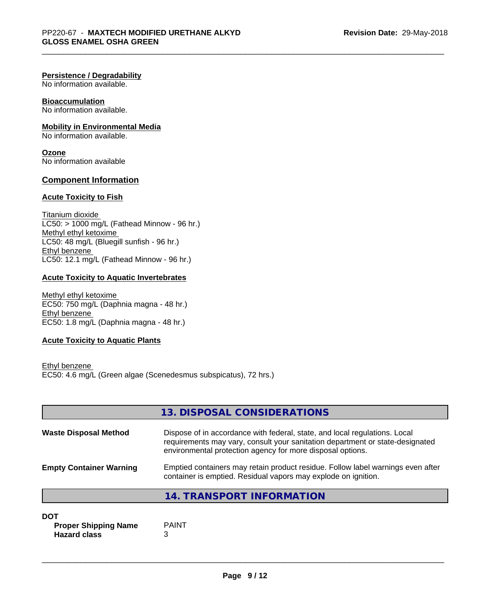#### **Persistence / Degradability**

No information available.

## **Bioaccumulation**

No information available.

## **Mobility in Environmental Media**

No information available.

**Ozone** No information available

### **Component Information**

#### **Acute Toxicity to Fish**

Titanium dioxide  $LC50: > 1000$  mg/L (Fathead Minnow - 96 hr.) Methyl ethyl ketoxime LC50: 48 mg/L (Bluegill sunfish - 96 hr.) Ethyl benzene LC50: 12.1 mg/L (Fathead Minnow - 96 hr.)

## **Acute Toxicity to Aquatic Invertebrates**

Methyl ethyl ketoxime EC50: 750 mg/L (Daphnia magna - 48 hr.) Ethyl benzene EC50: 1.8 mg/L (Daphnia magna - 48 hr.)

#### **Acute Toxicity to Aquatic Plants**

Ethyl benzene EC50: 4.6 mg/L (Green algae (Scenedesmus subspicatus), 72 hrs.)

|                                | 13. DISPOSAL CONSIDERATIONS                                                                                                                                                                                               |
|--------------------------------|---------------------------------------------------------------------------------------------------------------------------------------------------------------------------------------------------------------------------|
| <b>Waste Disposal Method</b>   | Dispose of in accordance with federal, state, and local regulations. Local<br>requirements may vary, consult your sanitation department or state-designated<br>environmental protection agency for more disposal options. |
| <b>Empty Container Warning</b> | Emptied containers may retain product residue. Follow label warnings even after<br>container is emptied. Residual vapors may explode on ignition.                                                                         |
|                                | 14. TRANSPORT INFORMATION                                                                                                                                                                                                 |

#### **DOT**

**Proper Shipping Name** PAINT **Hazard class** 3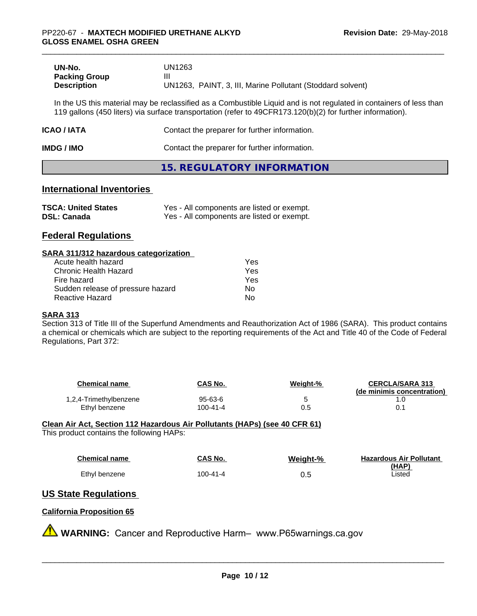| UN-No.               | UN1263                                                     |
|----------------------|------------------------------------------------------------|
| <b>Packing Group</b> | Ш                                                          |
| <b>Description</b>   | UN1263, PAINT, 3, III, Marine Pollutant (Stoddard solvent) |

In the US this material may be reclassified as a Combustible Liquid and is not regulated in containers of less than 119 gallons (450 liters) via surface transportation (refer to 49CFR173.120(b)(2) for further information).

| <b>ICAO/IATA</b> | Contact the preparer for further information. |
|------------------|-----------------------------------------------|
|                  |                                               |

| IMDG / IMO | Contact the preparer for further information. |  |
|------------|-----------------------------------------------|--|
|------------|-----------------------------------------------|--|

## **15. REGULATORY INFORMATION**

## **International Inventories**

| <b>TSCA: United States</b> | Yes - All components are listed or exempt. |
|----------------------------|--------------------------------------------|
| <b>DSL: Canada</b>         | Yes - All components are listed or exempt. |

## **Federal Regulations**

#### **SARA 311/312 hazardous categorization**

| Acute health hazard               | Yes |  |
|-----------------------------------|-----|--|
| Chronic Health Hazard             | Yes |  |
| Fire hazard                       | Yes |  |
| Sudden release of pressure hazard | Nο  |  |
| Reactive Hazard                   | N٥  |  |

#### **SARA 313**

Section 313 of Title III of the Superfund Amendments and Reauthorization Act of 1986 (SARA). This product contains a chemical or chemicals which are subject to the reporting requirements of the Act and Title 40 of the Code of Federal Regulations, Part 372:

| Chemical name          | <b>CAS No.</b> | Weight-% | <b>CERCLA/SARA 313</b><br>(de minimis concentration) |
|------------------------|----------------|----------|------------------------------------------------------|
| 1,2,4-Trimethylbenzene | 95-63-6        | ∼        |                                                      |
| Ethyl benzene          | 100-41-4       | 0.5      |                                                      |

#### **Clean Air Act,Section 112 Hazardous Air Pollutants (HAPs) (see 40 CFR 61)** This product contains the following HAPs:

| <b>Chemical name</b> | CAS No.  | Weight-% | <b>Hazardous Air Pollutant</b> |
|----------------------|----------|----------|--------------------------------|
| Ethyl benzene        | 100-41-4 | 0.5      | (HAP)<br>_isted                |

# **US State Regulations**

## **California Proposition 65**

**A** WARNING: Cancer and Reproductive Harm– www.P65warnings.ca.gov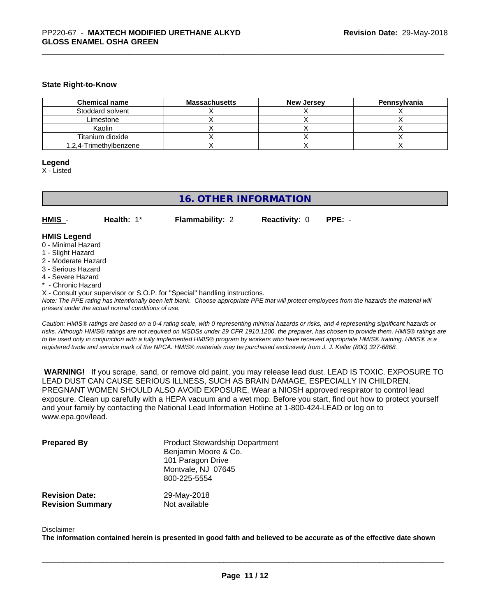#### **State Right-to-Know**

| <b>Chemical name</b>   | <b>Massachusetts</b> | <b>New Jersey</b> | Pennsylvania |
|------------------------|----------------------|-------------------|--------------|
| Stoddard solvent       |                      |                   |              |
| Limestone              |                      |                   |              |
| Kaolin                 |                      |                   |              |
| Titanium dioxide       |                      |                   |              |
| 1.2.4-Trimethylbenzene |                      |                   |              |

#### **Legend**

X - Listed

## **16. OTHER INFORMATION**

**HMIS** - **Health:** 1\* **Flammability:** 2 **Reactivity:** 0 **PPE:** -

#### **HMIS Legend**

- 0 Minimal Hazard
- 1 Slight Hazard
- 2 Moderate Hazard
- 3 Serious Hazard
- 4 Severe Hazard
- \* Chronic Hazard
- X Consult your supervisor or S.O.P. for "Special" handling instructions.

*Note: The PPE rating has intentionally been left blank. Choose appropriate PPE that will protect employees from the hazards the material will present under the actual normal conditions of use.*

*Caution: HMISÒ ratings are based on a 0-4 rating scale, with 0 representing minimal hazards or risks, and 4 representing significant hazards or risks. Although HMISÒ ratings are not required on MSDSs under 29 CFR 1910.1200, the preparer, has chosen to provide them. HMISÒ ratings are to be used only in conjunction with a fully implemented HMISÒ program by workers who have received appropriate HMISÒ training. HMISÒ is a registered trade and service mark of the NPCA. HMISÒ materials may be purchased exclusively from J. J. Keller (800) 327-6868.*

 **WARNING!** If you scrape, sand, or remove old paint, you may release lead dust. LEAD IS TOXIC. EXPOSURE TO LEAD DUST CAN CAUSE SERIOUS ILLNESS, SUCH AS BRAIN DAMAGE, ESPECIALLY IN CHILDREN. PREGNANT WOMEN SHOULD ALSO AVOID EXPOSURE.Wear a NIOSH approved respirator to control lead exposure. Clean up carefully with a HEPA vacuum and a wet mop. Before you start, find out how to protect yourself and your family by contacting the National Lead Information Hotline at 1-800-424-LEAD or log on to www.epa.gov/lead.

| <b>Prepared By</b>      | <b>Product Stewardship Department</b><br>Benjamin Moore & Co.<br>101 Paragon Drive<br>Montvale, NJ 07645<br>800-225-5554 |
|-------------------------|--------------------------------------------------------------------------------------------------------------------------|
| <b>Revision Date:</b>   | 29-May-2018                                                                                                              |
| <b>Revision Summary</b> | Not available                                                                                                            |

#### Disclaimer

The information contained herein is presented in good faith and believed to be accurate as of the effective date shown